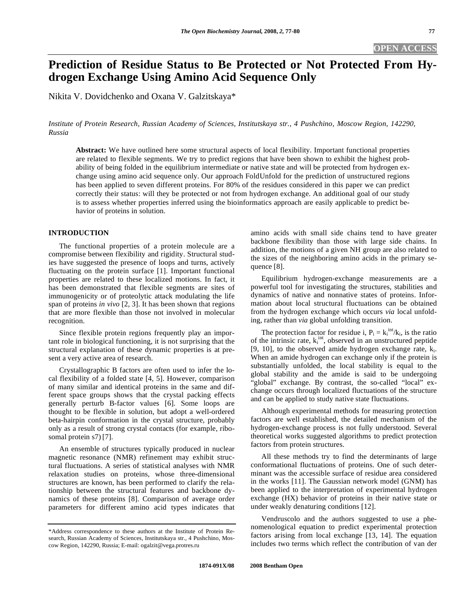# **Prediction of Residue Status to Be Protected or Not Protected From Hydrogen Exchange Using Amino Acid Sequence Only**

Nikita V. Dovidchenko and Oxana V. Galzitskaya\*

*Institute of Protein Research, Russian Academy of Sciences, Institutskaya str., 4 Pushchino, Moscow Region, 142290, Russia* 

**Abstract:** We have outlined here some structural aspects of local flexibility. Important functional properties are related to flexible segments. We try to predict regions that have been shown to exhibit the highest probability of being folded in the equilibrium intermediate or native state and will be protected from hydrogen exchange using amino acid sequence only. Our approach FoldUnfold for the prediction of unstructured regions has been applied to seven different proteins. For 80% of the residues considered in this paper we can predict correctly their status: will they be protected or not from hydrogen exchange. An additional goal of our study is to assess whether properties inferred using the bioinformatics approach are easily applicable to predict behavior of proteins in solution.

# **INTRODUCTION**

 The functional properties of a protein molecule are a compromise between flexibility and rigidity. Structural studies have suggested the presence of loops and turns, actively fluctuating on the protein surface [1]. Important functional properties are related to these localized motions. In fact, it has been demonstrated that flexible segments are sites of immunogenicity or of proteolytic attack modulating the life span of proteins *in vivo* [2, 3]. It has been shown that regions that are more flexible than those not involved in molecular recognition.

 Since flexible protein regions frequently play an important role in biological functioning, it is not surprising that the structural explanation of these dynamic properties is at present a very active area of research.

 Crystallographic B factors are often used to infer the local flexibility of a folded state [4, 5]. However, comparison of many similar and identical proteins in the same and different space groups shows that the crystal packing effects generally perturb B-factor values [6]. Some loops are thought to be flexible in solution, but adopt a well-ordered beta-hairpin conformation in the crystal structure, probably only as a result of strong crystal contacts (for example, ribosomal protein s7) [7].

 An ensemble of structures typically produced in nuclear magnetic resonance (NMR) refinement may exhibit structural fluctuations. A series of statistical analyses with NMR relaxation studies on proteins, whose three-dimensional structures are known, has been performed to clarify the relationship between the structural features and backbone dynamics of these proteins [8]. Comparison of average order parameters for different amino acid types indicates that amino acids with small side chains tend to have greater backbone flexibility than those with large side chains. In addition, the motions of a given NH group are also related to the sizes of the neighboring amino acids in the primary sequence [8].

 Equilibrium hydrogen-exchange measurements are a powerful tool for investigating the structures, stabilities and dynamics of native and nonnative states of proteins. Information about local structural fluctuations can be obtained from the hydrogen exchange which occurs *via* local unfolding, rather than *via* global unfolding transition.

The protection factor for residue i,  $P_i = k_i^{int}/k_i$ , is the ratio of the intrinsic rate,  $k_i^{int}$ , observed in an unstructured peptide [9, 10], to the observed amide hydrogen exchange rate,  $k_i$ . When an amide hydrogen can exchange only if the protein is substantially unfolded, the local stability is equal to the global stability and the amide is said to be undergoing 'global" exchange. By contrast, the so-called "local" exchange occurs through localized fluctuations of the structure and can be applied to study native state fluctuations.

 Although experimental methods for measuring protection factors are well established, the detailed mechanism of the hydrogen-exchange process is not fully understood. Several theoretical works suggested algorithms to predict protection factors from protein structures.

 All these methods try to find the determinants of large conformational fluctuations of proteins. One of such determinant was the accessible surface of residue area considered in the works [11]. The Gaussian network model (GNM) has been applied to the interpretation of experimental hydrogen exchange (HX) behavior of proteins in their native state or under weakly denaturing conditions [12].

 Vendruscolo and the authors suggested to use a phenomenological equation to predict experimental protection factors arising from local exchange [13, 14]. The equation includes two terms which reflect the contribution of van der

<sup>\*</sup>Address correspondence to these authors at the Institute of Protein Research, Russian Academy of Sciences, Institutskaya str., 4 Pushchino, Moscow Region, 142290, Russia; E-mail: ogalzit@vega.protres.ru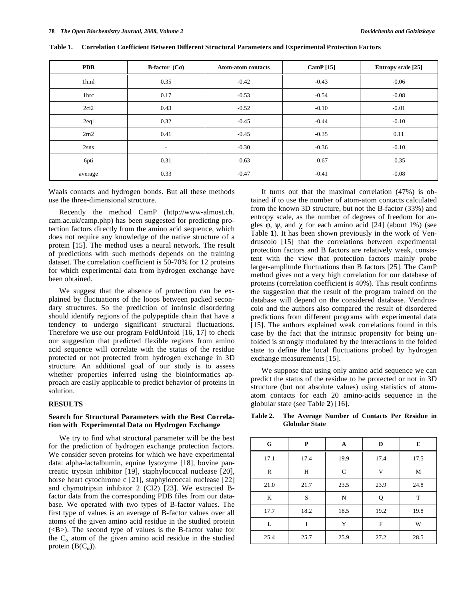| <b>PDB</b>       | <b>B-factor</b> $(C\alpha)$ | <b>Atom-atom contacts</b> | CamP $[15]$ | Entropy scale [25] |
|------------------|-----------------------------|---------------------------|-------------|--------------------|
| 1hml             | 0.35                        | $-0.42$                   | $-0.43$     | $-0.06$            |
| 1 <sub>hrc</sub> | 0.17                        | $-0.53$                   | $-0.54$     | $-0.08$            |
| 2ci2             | 0.43                        | $-0.52$                   | $-0.10$     | $-0.01$            |
| 2eql             | 0.32                        | $-0.45$                   | $-0.44$     | $-0.10$            |
| 2rn2             | 0.41                        | $-0.45$                   | $-0.35$     | 0.11               |
| $2\text{sns}$    | $\sim$                      | $-0.30$                   | $-0.36$     | $-0.10$            |
| 6pti             | 0.31                        | $-0.63$                   | $-0.67$     | $-0.35$            |
| average          | 0.33                        | $-0.47$                   | $-0.41$     | $-0.08$            |

**Table 1. Correlation Coefficient Between Different Structural Parameters and Experimental Protection Factors** 

Waals contacts and hydrogen bonds. But all these methods use the three-dimensional structure.

 Recently the method CamP (http://www-almost.ch. cam.ac.uk/camp.php) has been suggested for predicting protection factors directly from the amino acid sequence, which does not require any knowledge of the native structure of a protein [15]. The method uses a neural network. The result of predictions with such methods depends on the training dataset. The correlation coefficient is 50-70% for 12 proteins for which experimental data from hydrogen exchange have been obtained.

 We suggest that the absence of protection can be explained by fluctuations of the loops between packed secondary structures. So the prediction of intrinsic disordering should identify regions of the polypeptide chain that have a tendency to undergo significant structural fluctuations. Therefore we use our program FoldUnfold [16, 17] to check our suggestion that predicted flexible regions from amino acid sequence will correlate with the status of the residue protected or not protected from hydrogen exchange in 3D structure. An additional goal of our study is to assess whether properties inferred using the bioinformatics approach are easily applicable to predict behavior of proteins in solution.

#### **RESULTS**

### **Search for Structural Parameters with the Best Correlation with Experimental Data on Hydrogen Exchange**

 We try to find what structural parameter will be the best for the prediction of hydrogen exchange protection factors. We consider seven proteins for which we have experimental data: alpha-lactalbumin, equine lysozyme [18], bovine pancreatic trypsin inhibitor [19], staphylococcal nuclease [20], horse heart cytochrome c [21], staphylococcal nuclease [22] and chymotripsin inhibitor 2 (CI2) [23]. We extracted Bfactor data from the corresponding PDB files from our database. We operated with two types of B-factor values. The first type of values is an average of B-factor values over all atoms of the given amino acid residue in the studied protein  $(**B**)$ . The second type of values is the B-factor value for the  $C_{\alpha}$  atom of the given amino acid residue in the studied protein  $(B(C_{\alpha}))$ .

 It turns out that the maximal correlation (47%) is obtained if to use the number of atom-atom contacts calculated from the known 3D structure, but not the B-factor (33%) and entropy scale, as the number of degrees of freedom for angles  $\varphi$ ,  $\psi$ , and  $\chi$  for each amino acid [24] (about 1%) (see Table **1**). It has been shown previously in the work of Vendruscolo [15] that the correlations between experimental protection factors and B factors are relatively weak, consistent with the view that protection factors mainly probe larger-amplitude fluctuations than B factors [25]. The CamP method gives not a very high correlation for our database of proteins (correlation coefficient is 40%). This result confirms the suggestion that the result of the program trained on the database will depend on the considered database. Vendruscolo and the authors also compared the result of disordered predictions from different programs with experimental data [15]. The authors explained weak correlations found in this case by the fact that the intrinsic propensity for being unfolded is strongly modulated by the interactions in the folded state to define the local fluctuations probed by hydrogen exchange measurements [15].

 We suppose that using only amino acid sequence we can predict the status of the residue to be protected or not in 3D structure (but not absolute values) using statistics of atomatom contacts for each 20 amino-acids sequence in the globular state (see Table **2**) [16].

| Table 2. | The Average Number of Contacts Per Residue in |  |  |  |
|----------|-----------------------------------------------|--|--|--|
|          | <b>Globular State</b>                         |  |  |  |
|          |                                               |  |  |  |

| G    | P    | A            | D    | E    |
|------|------|--------------|------|------|
| 17.1 | 17.4 | 19.9         | 17.4 | 17.5 |
| R    | H    | $\mathsf{C}$ | V    | M    |
| 21.0 | 21.7 | 23.5         | 23.9 | 24.8 |
| K    | S    | N            | Q    | T    |
| 17.7 | 18.2 | 18.5         | 19.2 | 19.8 |
| L    | I    | Y            | F    | W    |
| 25.4 | 25.7 | 25.9         | 27.2 | 28.5 |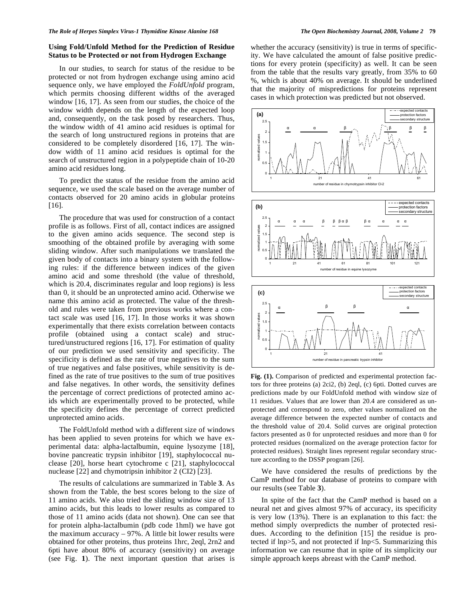#### **Using Fold/Unfold Method for the Prediction of Residue Status to be Protected or not from Hydrogen Exchange**

 In our studies, to search for status of the residue to be protected or not from hydrogen exchange using amino acid sequence only, we have employed the *FoldUnfold* program, which permits choosing different widths of the averaged window [16, 17]. As seen from our studies, the choice of the window width depends on the length of the expected loop and, consequently, on the task posed by researchers. Thus, the window width of 41 amino acid residues is optimal for the search of long unstructured regions in proteins that are considered to be completely disordered [16, 17]. The window width of 11 amino acid residues is optimal for the search of unstructured region in a polypeptide chain of 10-20 amino acid residues long.

 To predict the status of the residue from the amino acid sequence, we used the scale based on the average number of contacts observed for 20 amino acids in globular proteins [16].

 The procedure that was used for construction of a contact profile is as follows. First of all, contact indices are assigned to the given amino acids sequence. The second step is smoothing of the obtained profile by averaging with some sliding window. After such manipulations we translated the given body of contacts into a binary system with the following rules: if the difference between indices of the given amino acid and some threshold (the value of threshold, which is 20.4, discriminates regular and loop regions) is less than 0, it should be an unprotected amino acid. Otherwise we name this amino acid as protected. The value of the threshold and rules were taken from previous works where a contact scale was used [16, 17]. In those works it was shown experimentally that there exists correlation between contacts profile (obtained using a contact scale) and structured/unstructured regions [16, 17]. For estimation of quality of our prediction we used sensitivity and specificity. The specificity is defined as the rate of true negatives to the sum of true negatives and false positives, while sensitivity is defined as the rate of true positives to the sum of true positives and false negatives. In other words, the sensitivity defines the percentage of correct predictions of protected amino acids which are experimentally proved to be protected, while the specificity defines the percentage of correct predicted unprotected amino acids.

 The FoldUnfold method with a different size of windows has been applied to seven proteins for which we have experimental data: alpha-lactalbumin, equine lysozyme [18], bovine pancreatic trypsin inhibitor [19], staphylococcal nuclease [20], horse heart cytochrome c [21], staphylococcal nuclease [22] and chymotripsin inhibitor 2 (CI2) [23].

 The results of calculations are summarized in Table **3**. As shown from the Table, the best scores belong to the size of 11 amino acids. We also tried the sliding window size of 13 amino acids, but this leads to lower results as compared to those of 11 amino acids (data not shown). One can see that for protein alpha-lactalbumin (pdb code 1hml) we have got the maximum accuracy  $-97\%$ . A little bit lower results were obtained for other proteins, thus proteins 1hrc, 2eql, 2rn2 and 6pti have about 80% of accuracy (sensitivity) on average (see Fig. **1**). The next important question that arises is

whether the accuracy (sensitivity) is true in terms of specificity. We have calculated the amount of false positive predictions for every protein (specificity) as well. It can be seen from the table that the results vary greatly, from 35% to 60 %, which is about 40% on average. It should be underlined that the majority of mispredictions for proteins represent cases in which protection was predicted but not observed.



**Fig. (1).** Comparison of predicted and experimental protection factors for three proteins (a) 2ci2, (b) 2eql, (c) 6pti. Dotted curves are predictions made by our FoldUnfold method with window size of 11 residues. Values that are lower than 20.4 are considered as unprotected and correspond to zero, other values normalized on the average difference between the expected number of contacts and the threshold value of 20.4. Solid curves are original protection factors presented as 0 for unprotected residues and more than 0 for protected residues (normalized on the average protection factor for protected residues). Straight lines represent regular secondary structure according to the DSSP program [26].

 We have considered the results of predictions by the CamP method for our database of proteins to compare with our results (see Table **3**).

 In spite of the fact that the CamP method is based on a neural net and gives almost 97% of accuracy, its specificity is very low (13%). There is an explanation to this fact: the method simply overpredicts the number of protected residues. According to the definition [15] the residue is protected if lnp>5, and not protected if lnp<5. Summarizing this information we can resume that in spite of its simplicity our simple approach keeps abreast with the CamP method.